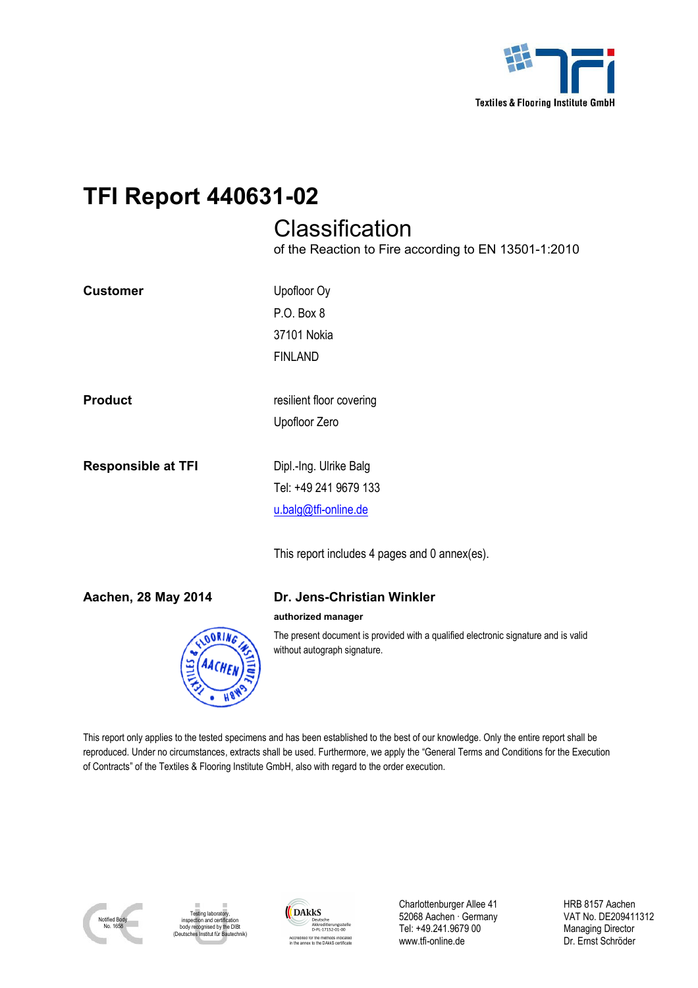

# **TFI Report 440631-02**

# **Classification**

of the Reaction to Fire according to EN 13501-1:2010

| <b>Customer</b> | Upofloor Oy |
|-----------------|-------------|
|                 | P.O. Box 8  |
|                 | 37101 Nokia |
|                 | FINI AND    |

**Product resilient floor covering** 

**Responsible at TFI** Dipl.-Ing. Ulrike Balg

Tel: +49 241 9679 133

Upofloor Zero

u.balg@tfi-online.de

This report includes 4 pages and 0 annex(es).

#### **Aachen, 28 May 2014 Dr. Jens-Christian Winkler**

#### **authorized manager**



The present document is provided with a qualified electronic signature and is valid without autograph signature.

This report only applies to the tested specimens and has been established to the best of our knowledge. Only the entire report shall be reproduced. Under no circumstances, extracts shall be used. Furthermore, we apply the "General Terms and Conditions for the Execution of Contracts" of the Textiles & Flooring Institute GmbH, also with regard to the order execution.



Testing laboratory, inspection and certification by the DIB (Deutsches Institut für Bautechnik)



Charlottenburger Allee 41 52068 Aachen · Germany Tel: +49.241.9679 00 www.tfi-online.de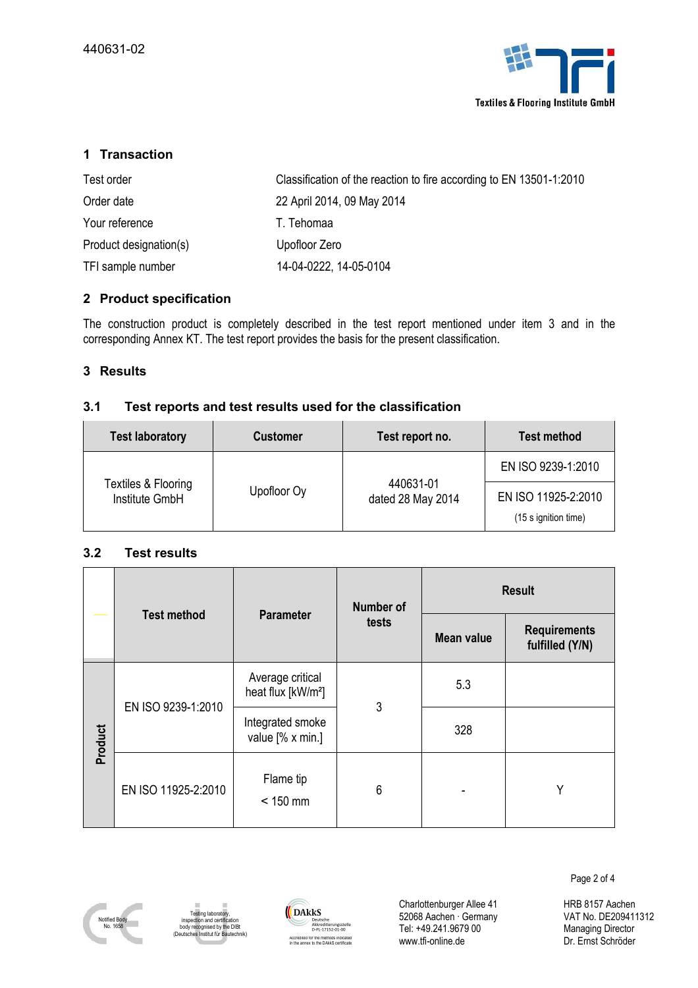

# **1 Transaction**

| Test order             | Classification of the reaction to fire according to EN 13501-1:2010 |
|------------------------|---------------------------------------------------------------------|
| Order date             | 22 April 2014, 09 May 2014                                          |
| Your reference         | T. Tehomaa                                                          |
| Product designation(s) | Upofloor Zero                                                       |
| TFI sample number      | 14-04-0222, 14-05-0104                                              |

# **2 Product specification**

The construction product is completely described in the test report mentioned under item 3 and in the corresponding Annex KT. The test report provides the basis for the present classification.

#### **3 Results**

#### **3.1 Test reports and test results used for the classification**

| <b>Test laboratory</b>                               | <b>Customer</b> | Test report no.                | <b>Test method</b>                          |
|------------------------------------------------------|-----------------|--------------------------------|---------------------------------------------|
| Textiles & Flooring<br>Upofloor Oy<br>Institute GmbH |                 |                                | EN ISO 9239-1:2010                          |
|                                                      |                 | 440631-01<br>dated 28 May 2014 | EN ISO 11925-2:2010<br>(15 s ignition time) |

# **3.2 Test results**

|         | <b>Test method</b><br><b>Parameter</b> |                                                    | <b>Number of</b><br>tests | <b>Result</b>     |                                        |
|---------|----------------------------------------|----------------------------------------------------|---------------------------|-------------------|----------------------------------------|
|         |                                        |                                                    |                           | <b>Mean value</b> | <b>Requirements</b><br>fulfilled (Y/N) |
| Product | EN ISO 9239-1:2010                     | Average critical<br>heat flux [kW/m <sup>2</sup> ] | 3                         | 5.3               |                                        |
|         |                                        | Integrated smoke<br>value [% x min.]               |                           | 328               |                                        |
|         | EN ISO 11925-2:2010                    | Flame tip<br>$< 150$ mm                            | 6                         |                   | v                                      |



Testing laborato ection and certific body recognised by the DIBt<br>(Deutsches Institut für Bautechnik) , ............<br>Istitut für B



Charlottenburger Allee 41 52068 Aachen · Germany Tel: +49.241.9679 00 www.tfi-online.de

Page 2 of 4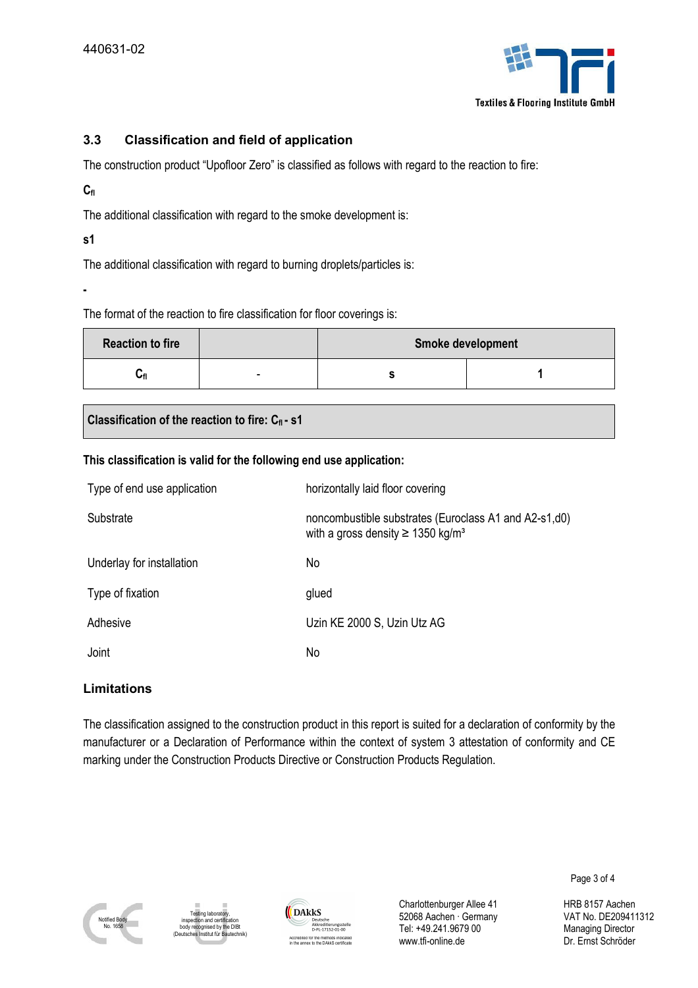

## **3.3 Classification and field of application**

The construction product "Upofloor Zero" is classified as follows with regard to the reaction to fire:

**Cfl**

The additional classification with regard to the smoke development is:

**s1** 

**-** 

The additional classification with regard to burning droplets/particles is:

The format of the reaction to fire classification for floor coverings is:

| <b>Reaction to fire</b> |                          | <b>Smoke development</b> |
|-------------------------|--------------------------|--------------------------|
| ⊍ք                      | $\overline{\phantom{0}}$ |                          |

**Classification of the reaction to fire: Cfl - s1** 

#### **This classification is valid for the following end use application:**

| Type of end use application | horizontally laid floor covering                                                                            |
|-----------------------------|-------------------------------------------------------------------------------------------------------------|
| Substrate                   | noncombustible substrates (Euroclass A1 and A2-s1,d0)<br>with a gross density $\geq$ 1350 kg/m <sup>3</sup> |
| Underlay for installation   | No                                                                                                          |
| Type of fixation            | glued                                                                                                       |
| Adhesive                    | Uzin KE 2000 S, Uzin Utz AG                                                                                 |
| Joint                       | No                                                                                                          |

### **Limitations**

The classification assigned to the construction product in this report is suited for a declaration of conformity by the manufacturer or a Declaration of Performance within the context of system 3 attestation of conformity and CE marking under the Construction Products Directive or Construction Products Regulation.





Charlottenburger Allee 41 52068 Aachen · Germany Tel: +49.241.9679 00 www.tfi-online.de

Page 3 of 4